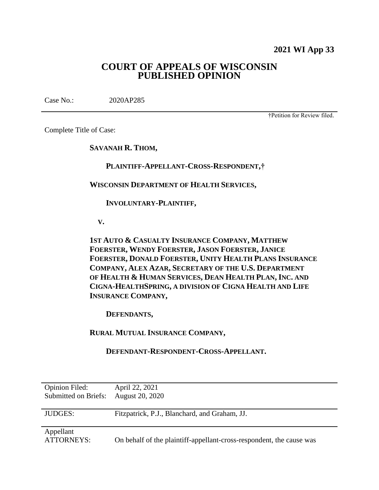**2021 WI App 33**

# **COURT OF APPEALS OF WISCONSIN PUBLISHED OPINION**

Case No.: 2020AP285

†Petition for Review filed.

Complete Title of Case:

**SAVANAH R. THOM,**

 **PLAINTIFF-APPELLANT-CROSS-RESPONDENT,†**

**WISCONSIN DEPARTMENT OF HEALTH SERVICES,**

 **INVOLUNTARY-PLAINTIFF,**

 **V.**

**1ST AUTO & CASUALTY INSURANCE COMPANY, MATTHEW FOERSTER, WENDY FOERSTER, JASON FOERSTER, JANICE FOERSTER, DONALD FOERSTER, UNITY HEALTH PLANS INSURANCE COMPANY, ALEX AZAR, SECRETARY OF THE U.S. DEPARTMENT OF HEALTH & HUMAN SERVICES, DEAN HEALTH PLAN, INC. AND CIGNA-HEALTHSPRING, A DIVISION OF CIGNA HEALTH AND LIFE INSURANCE COMPANY,**

 **DEFENDANTS,**

**RURAL MUTUAL INSURANCE COMPANY,**

 **DEFENDANT-RESPONDENT-CROSS-APPELLANT.**

| Opinion Filed:<br>Submitted on Briefs: | April 22, 2021<br>August 20, 2020                                    |
|----------------------------------------|----------------------------------------------------------------------|
| <b>JUDGES:</b>                         | Fitzpatrick, P.J., Blanchard, and Graham, JJ.                        |
| Appellant<br>ATTORNEYS:                | On behalf of the plaintiff-appellant-cross-respondent, the cause was |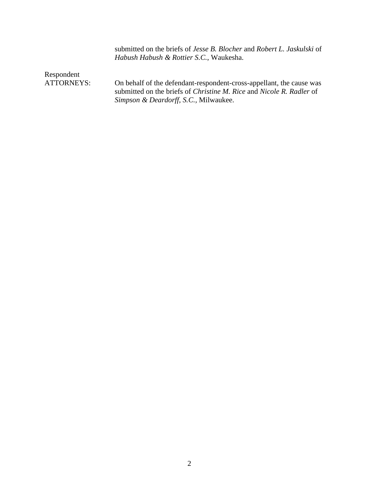submitted on the briefs of *Jesse B. Blocher* and *Robert L. Jaskulski* of *Habush Habush & Rottier S.C.*, Waukesha.

Respondent

ATTORNEYS: On behalf of the defendant-respondent-cross-appellant, the cause was submitted on the briefs of *Christine M. Rice* and *Nicole R. Radler* of *Simpson & Deardorff, S.C.,* Milwaukee.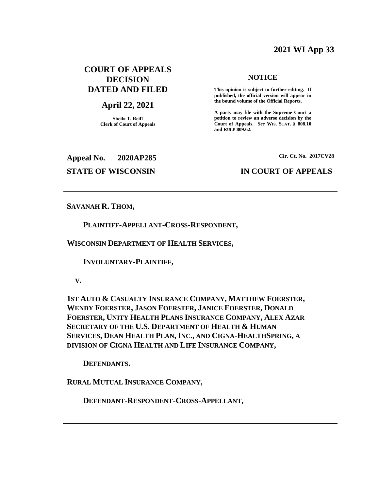# **2021 WI App 33**

# **COURT OF APPEALS DECISION DATED AND FILED**

# **April 22, 2021**

**Sheila T. Reiff Clerk of Court of Appeals**

#### **NOTICE**

**This opinion is subject to further editing. If published, the official version will appear in the bound volume of the Official Reports.** 

**A party may file with the Supreme Court a petition to review an adverse decision by the Court of Appeals.** *See* **WIS. STAT. § 808.10 and RULE 809.62.** 

**Appeal No. 2020AP285 Cir. Ct. No. 2017CV28**

# **STATE OF WISCONSIN IN COURT OF APPEALS**

#### **SAVANAH R. THOM,**

#### **PLAINTIFF-APPELLANT-CROSS-RESPONDENT,**

**WISCONSIN DEPARTMENT OF HEALTH SERVICES,**

 **INVOLUNTARY-PLAINTIFF,**

 **V.**

**1ST AUTO & CASUALTY INSURANCE COMPANY, MATTHEW FOERSTER, WENDY FOERSTER, JASON FOERSTER, JANICE FOERSTER, DONALD FOERSTER, UNITY HEALTH PLANS INSURANCE COMPANY, ALEX AZAR SECRETARY OF THE U.S. DEPARTMENT OF HEALTH & HUMAN SERVICES, DEAN HEALTH PLAN, INC., AND CIGNA-HEALTHSPRING, A DIVISION OF CIGNA HEALTH AND LIFE INSURANCE COMPANY,**

 **DEFENDANTS.**

**RURAL MUTUAL INSURANCE COMPANY,**

 **DEFENDANT-RESPONDENT-CROSS-APPELLANT,**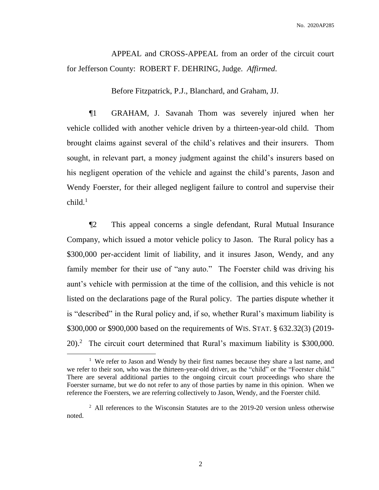APPEAL and CROSS-APPEAL from an order of the circuit court for Jefferson County: ROBERT F. DEHRING, Judge. *Affirmed*.

Before Fitzpatrick, P.J., Blanchard, and Graham, JJ.

¶1 GRAHAM, J. Savanah Thom was severely injured when her vehicle collided with another vehicle driven by a thirteen-year-old child. Thom brought claims against several of the child's relatives and their insurers. Thom sought, in relevant part, a money judgment against the child's insurers based on his negligent operation of the vehicle and against the child's parents, Jason and Wendy Foerster, for their alleged negligent failure to control and supervise their  $child.<sup>1</sup>$ 

¶2 This appeal concerns a single defendant, Rural Mutual Insurance Company, which issued a motor vehicle policy to Jason. The Rural policy has a \$300,000 per-accident limit of liability, and it insures Jason, Wendy, and any family member for their use of "any auto." The Foerster child was driving his aunt's vehicle with permission at the time of the collision, and this vehicle is not listed on the declarations page of the Rural policy. The parties dispute whether it is "described" in the Rural policy and, if so, whether Rural's maximum liability is \$300,000 or \$900,000 based on the requirements of WIS. STAT. § 632.32(3) (2019- 20).<sup>2</sup> The circuit court determined that Rural's maximum liability is \$300,000.

<sup>&</sup>lt;sup>1</sup> We refer to Jason and Wendy by their first names because they share a last name, and we refer to their son, who was the thirteen-year-old driver, as the "child" or the "Foerster child." There are several additional parties to the ongoing circuit court proceedings who share the Foerster surname, but we do not refer to any of those parties by name in this opinion. When we reference the Foersters, we are referring collectively to Jason, Wendy, and the Foerster child.

<sup>&</sup>lt;sup>2</sup> All references to the Wisconsin Statutes are to the 2019-20 version unless otherwise noted.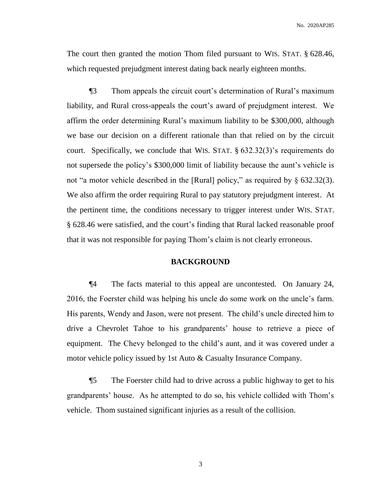The court then granted the motion Thom filed pursuant to WIS. STAT. § 628.46, which requested prejudgment interest dating back nearly eighteen months.

¶3 Thom appeals the circuit court's determination of Rural's maximum liability, and Rural cross-appeals the court's award of prejudgment interest. We affirm the order determining Rural's maximum liability to be \$300,000, although we base our decision on a different rationale than that relied on by the circuit court. Specifically, we conclude that WIS. STAT. § 632.32(3)'s requirements do not supersede the policy's \$300,000 limit of liability because the aunt's vehicle is not "a motor vehicle described in the [Rural] policy," as required by § 632.32(3). We also affirm the order requiring Rural to pay statutory prejudgment interest. At the pertinent time, the conditions necessary to trigger interest under WIS. STAT. § 628.46 were satisfied, and the court's finding that Rural lacked reasonable proof that it was not responsible for paying Thom's claim is not clearly erroneous.

#### **BACKGROUND**

¶4 The facts material to this appeal are uncontested. On January 24, 2016, the Foerster child was helping his uncle do some work on the uncle's farm. His parents, Wendy and Jason, were not present. The child's uncle directed him to drive a Chevrolet Tahoe to his grandparents' house to retrieve a piece of equipment. The Chevy belonged to the child's aunt, and it was covered under a motor vehicle policy issued by 1st Auto & Casualty Insurance Company.

¶5 The Foerster child had to drive across a public highway to get to his grandparents' house. As he attempted to do so, his vehicle collided with Thom's vehicle. Thom sustained significant injuries as a result of the collision.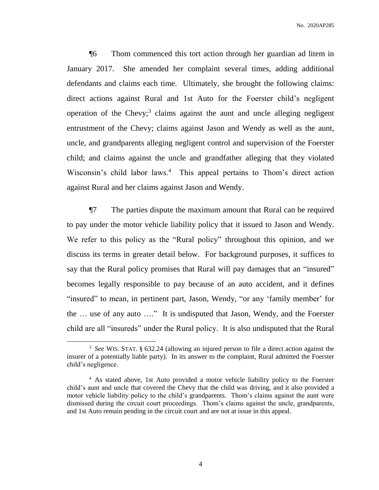¶6 Thom commenced this tort action through her guardian ad litem in January 2017. She amended her complaint several times, adding additional defendants and claims each time. Ultimately, she brought the following claims: direct actions against Rural and 1st Auto for the Foerster child's negligent operation of the Chevy;<sup>3</sup> claims against the aunt and uncle alleging negligent entrustment of the Chevy; claims against Jason and Wendy as well as the aunt, uncle, and grandparents alleging negligent control and supervision of the Foerster child; and claims against the uncle and grandfather alleging that they violated Wisconsin's child labor laws.<sup>4</sup> This appeal pertains to Thom's direct action against Rural and her claims against Jason and Wendy.

¶7 The parties dispute the maximum amount that Rural can be required to pay under the motor vehicle liability policy that it issued to Jason and Wendy. We refer to this policy as the "Rural policy" throughout this opinion, and we discuss its terms in greater detail below. For background purposes, it suffices to say that the Rural policy promises that Rural will pay damages that an "insured" becomes legally responsible to pay because of an auto accident, and it defines "insured" to mean, in pertinent part, Jason, Wendy, "or any 'family member' for the … use of any auto …." It is undisputed that Jason, Wendy, and the Foerster child are all "insureds" under the Rural policy. It is also undisputed that the Rural

<sup>3</sup> *See* WIS. STAT. § 632.24 (allowing an injured person to file a direct action against the insurer of a potentially liable party). In its answer to the complaint, Rural admitted the Foerster child's negligence.

<sup>&</sup>lt;sup>4</sup> As stated above, 1st Auto provided a motor vehicle liability policy to the Foerster child's aunt and uncle that covered the Chevy that the child was driving, and it also provided a motor vehicle liability policy to the child's grandparents. Thom's claims against the aunt were dismissed during the circuit court proceedings. Thom's claims against the uncle, grandparents, and 1st Auto remain pending in the circuit court and are not at issue in this appeal.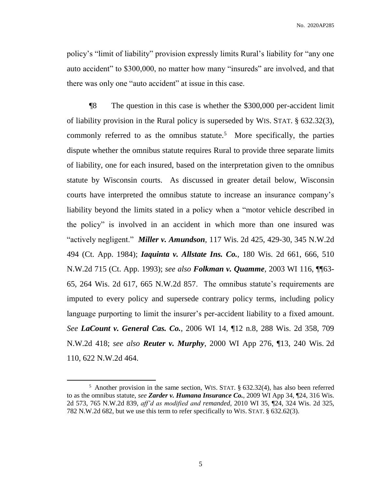policy's "limit of liability" provision expressly limits Rural's liability for "any one auto accident" to \$300,000, no matter how many "insureds" are involved, and that there was only one "auto accident" at issue in this case.

¶8 The question in this case is whether the \$300,000 per-accident limit of liability provision in the Rural policy is superseded by WIS. STAT. § 632.32(3), commonly referred to as the omnibus statute.<sup>5</sup> More specifically, the parties dispute whether the omnibus statute requires Rural to provide three separate limits of liability, one for each insured, based on the interpretation given to the omnibus statute by Wisconsin courts. As discussed in greater detail below, Wisconsin courts have interpreted the omnibus statute to increase an insurance company's liability beyond the limits stated in a policy when a "motor vehicle described in the policy" is involved in an accident in which more than one insured was "actively negligent." *Miller v. Amundson*, 117 Wis. 2d 425, 429-30, 345 N.W.2d 494 (Ct. App. 1984); *Iaquinta v. Allstate Ins. Co.*, 180 Wis. 2d 661, 666, 510 N.W.2d 715 (Ct. App. 1993); *see also Folkman v. Quamme,* 2003 WI 116, ¶¶63- 65, 264 Wis. 2d 617, 665 N.W.2d 857. The omnibus statute's requirements are imputed to every policy and supersede contrary policy terms, including policy language purporting to limit the insurer's per-accident liability to a fixed amount. *See LaCount v. General Cas. Co.*, 2006 WI 14, ¶12 n.8, 288 Wis. 2d 358, 709 N.W.2d 418; *see also Reuter v. Murphy*, 2000 WI App 276, ¶13, 240 Wis. 2d 110, 622 N.W.2d 464.

 $\overline{a}$ 

<sup>&</sup>lt;sup>5</sup> Another provision in the same section, WIS. STAT. § 632.32(4), has also been referred to as the omnibus statute, *see Zarder v. Humana Insurance Co.*, 2009 WI App 34, ¶24, 316 Wis. 2d 573, 765 N.W.2d 839, *aff'd as modified and remanded*, 2010 WI 35, ¶24, 324 Wis. 2d 325, 782 N.W.2d 682, but we use this term to refer specifically to WIS. STAT. § 632.62(3).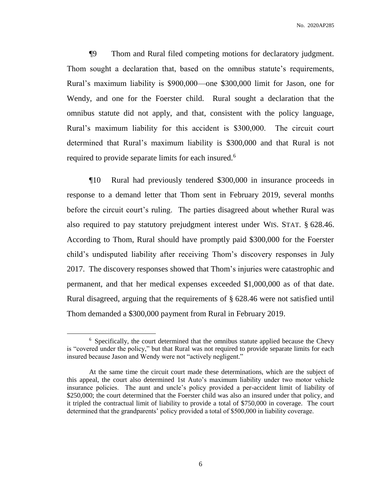¶9 Thom and Rural filed competing motions for declaratory judgment. Thom sought a declaration that, based on the omnibus statute's requirements, Rural's maximum liability is \$900,000—one \$300,000 limit for Jason, one for Wendy, and one for the Foerster child. Rural sought a declaration that the omnibus statute did not apply, and that, consistent with the policy language, Rural's maximum liability for this accident is \$300,000. The circuit court determined that Rural's maximum liability is \$300,000 and that Rural is not required to provide separate limits for each insured.<sup>6</sup>

¶10 Rural had previously tendered \$300,000 in insurance proceeds in response to a demand letter that Thom sent in February 2019, several months before the circuit court's ruling. The parties disagreed about whether Rural was also required to pay statutory prejudgment interest under WIS. STAT. § 628.46. According to Thom, Rural should have promptly paid \$300,000 for the Foerster child's undisputed liability after receiving Thom's discovery responses in July 2017. The discovery responses showed that Thom's injuries were catastrophic and permanent, and that her medical expenses exceeded \$1,000,000 as of that date. Rural disagreed, arguing that the requirements of § 628.46 were not satisfied until Thom demanded a \$300,000 payment from Rural in February 2019.

<sup>&</sup>lt;sup>6</sup> Specifically, the court determined that the omnibus statute applied because the Chevy is "covered under the policy," but that Rural was not required to provide separate limits for each insured because Jason and Wendy were not "actively negligent."

At the same time the circuit court made these determinations, which are the subject of this appeal, the court also determined 1st Auto's maximum liability under two motor vehicle insurance policies. The aunt and uncle's policy provided a per-accident limit of liability of \$250,000; the court determined that the Foerster child was also an insured under that policy, and it tripled the contractual limit of liability to provide a total of \$750,000 in coverage. The court determined that the grandparents' policy provided a total of \$500,000 in liability coverage.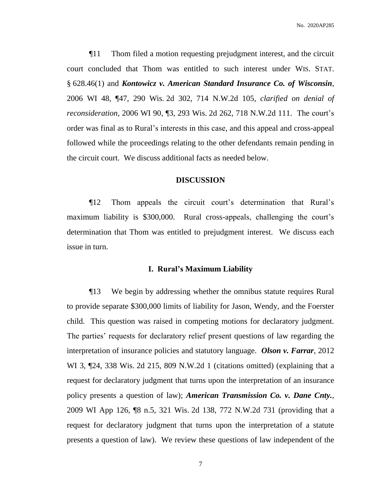¶11 Thom filed a motion requesting prejudgment interest, and the circuit court concluded that Thom was entitled to such interest under WIS. STAT. § 628.46(1) and *Kontowicz v. American Standard Insurance Co. of Wisconsin*, 2006 WI 48, ¶47, 290 Wis. 2d 302, 714 N.W.2d 105, *clarified on denial of reconsideration*, 2006 WI 90, ¶3, 293 Wis. 2d 262, 718 N.W.2d 111. The court's order was final as to Rural's interests in this case, and this appeal and cross-appeal followed while the proceedings relating to the other defendants remain pending in the circuit court. We discuss additional facts as needed below.

#### **DISCUSSION**

¶12 Thom appeals the circuit court's determination that Rural's maximum liability is \$300,000. Rural cross-appeals, challenging the court's determination that Thom was entitled to prejudgment interest. We discuss each issue in turn.

#### **I. Rural's Maximum Liability**

¶13 We begin by addressing whether the omnibus statute requires Rural to provide separate \$300,000 limits of liability for Jason, Wendy, and the Foerster child. This question was raised in competing motions for declaratory judgment. The parties' requests for declaratory relief present questions of law regarding the interpretation of insurance policies and statutory language. *Olson v. Farrar*, 2012 WI 3,  $\mathbb{Z}^2$ 4, 338 Wis. 2d 215, 809 N.W.2d 1 (citations omitted) (explaining that a request for declaratory judgment that turns upon the interpretation of an insurance policy presents a question of law); *American Transmission Co. v. Dane Cnty.*, 2009 WI App 126, ¶8 n.5, 321 Wis. 2d 138, 772 N.W.2d 731 (providing that a request for declaratory judgment that turns upon the interpretation of a statute presents a question of law). We review these questions of law independent of the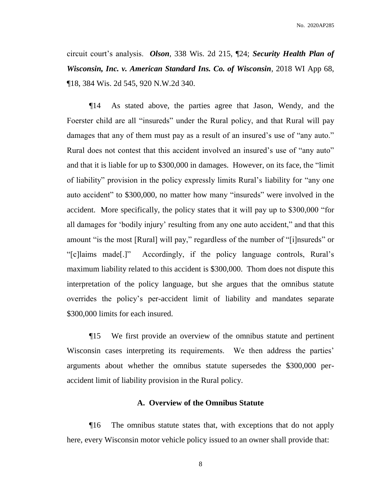circuit court's analysis. *Olson*, 338 Wis. 2d 215, ¶24; *Security Health Plan of Wisconsin, Inc. v. American Standard Ins. Co. of Wisconsin*, 2018 WI App 68, ¶18, 384 Wis. 2d 545, 920 N.W.2d 340.

¶14 As stated above, the parties agree that Jason, Wendy, and the Foerster child are all "insureds" under the Rural policy, and that Rural will pay damages that any of them must pay as a result of an insured's use of "any auto." Rural does not contest that this accident involved an insured's use of "any auto" and that it is liable for up to \$300,000 in damages. However, on its face, the "limit of liability" provision in the policy expressly limits Rural's liability for "any one auto accident" to \$300,000, no matter how many "insureds" were involved in the accident. More specifically, the policy states that it will pay up to \$300,000 "for all damages for 'bodily injury' resulting from any one auto accident," and that this amount "is the most [Rural] will pay," regardless of the number of "[i]nsureds" or "[c]laims made[.]" Accordingly, if the policy language controls, Rural's maximum liability related to this accident is \$300,000. Thom does not dispute this interpretation of the policy language, but she argues that the omnibus statute overrides the policy's per-accident limit of liability and mandates separate \$300,000 limits for each insured.

¶15 We first provide an overview of the omnibus statute and pertinent Wisconsin cases interpreting its requirements. We then address the parties' arguments about whether the omnibus statute supersedes the \$300,000 peraccident limit of liability provision in the Rural policy.

# **A. Overview of the Omnibus Statute**

¶16 The omnibus statute states that, with exceptions that do not apply here, every Wisconsin motor vehicle policy issued to an owner shall provide that: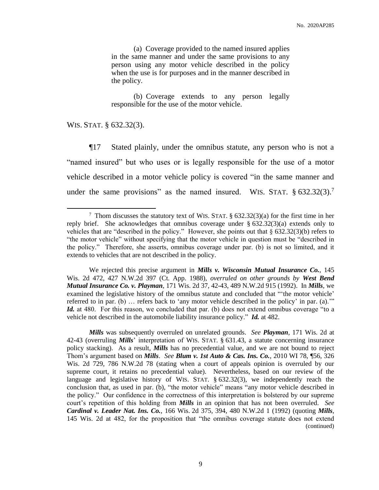(a) Coverage provided to the named insured applies in the same manner and under the same provisions to any person using any motor vehicle described in the policy when the use is for purposes and in the manner described in the policy.

(b) Coverage extends to any person legally responsible for the use of the motor vehicle.

WIS. STAT. § 632.32(3).

 $\overline{a}$ 

¶17 Stated plainly, under the omnibus statute, any person who is not a "named insured" but who uses or is legally responsible for the use of a motor vehicle described in a motor vehicle policy is covered "in the same manner and under the same provisions" as the named insured. WIS. STAT.  $\S 632.32(3)$ .<sup>7</sup>

We rejected this precise argument in *Mills v. Wisconsin Mutual Insurance Co.*, 145 Wis. 2d 472, 427 N.W.2d 397 (Ct. App. 1988), *overruled on other grounds by West Bend Mutual Insurance Co. v. Playman*, 171 Wis. 2d 37, 42-43, 489 N.W.2d 915 (1992). In *Mills*, we examined the legislative history of the omnibus statute and concluded that "'the motor vehicle' referred to in par. (b) … refers back to 'any motor vehicle described in the policy' in par. (a).'" *Id.* at 480. For this reason, we concluded that par. (b) does not extend omnibus coverage "to a vehicle not described in the automobile liability insurance policy." *Id.* at 482.

*Mills* was subsequently overruled on unrelated grounds. *See Playman*, 171 Wis. 2d at 42-43 (overruling *Mills*' interpretation of WIS. STAT. § 631.43, a statute concerning insurance policy stacking). As a result, *Mills* has no precedential value, and we are not bound to reject Thom's argument based on *Mills*. *See Blum v. 1st Auto & Cas. Ins. Co.*, 2010 WI 78, ¶56, 326 Wis. 2d 729, 786 N.W.2d 78 (stating when a court of appeals opinion is overruled by our supreme court, it retains no precedential value). Nevertheless, based on our review of the language and legislative history of WIS. STAT. § 632.32(3), we independently reach the conclusion that, as used in par. (b), "the motor vehicle" means "any motor vehicle described in the policy." Our confidence in the correctness of this interpretation is bolstered by our supreme court's repetition of this holding from *Mills* in an opinion that has not been overruled. *See Cardinal v. Leader Nat. Ins. Co.*, 166 Wis. 2d 375, 394, 480 N.W.2d 1 (1992) (quoting *Mills*, 145 Wis. 2d at 482, for the proposition that "the omnibus coverage statute does not extend (continued)

<sup>&</sup>lt;sup>7</sup> Thom discusses the statutory text of WIS. STAT.  $\S$  632.32(3)(a) for the first time in her reply brief. She acknowledges that omnibus coverage under  $\S$  632.32(3)(a) extends only to vehicles that are "described in the policy." However, she points out that § 632.32(3)(b) refers to "the motor vehicle" without specifying that the motor vehicle in question must be "described in the policy." Therefore, she asserts, omnibus coverage under par. (b) is not so limited, and it extends to vehicles that are not described in the policy.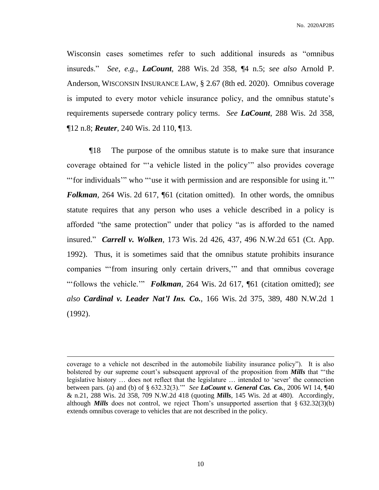Wisconsin cases sometimes refer to such additional insureds as "omnibus insureds." *See, e.g.*, *LaCount*, 288 Wis. 2d 358, ¶4 n.5; *see also* Arnold P. Anderson, WISCONSIN INSURANCE LAW, § 2.67 (8th ed. 2020). Omnibus coverage is imputed to every motor vehicle insurance policy, and the omnibus statute's requirements supersede contrary policy terms. *See LaCount*, 288 Wis. 2d 358, ¶12 n.8; *Reuter*, 240 Wis. 2d 110, ¶13.

¶18 The purpose of the omnibus statute is to make sure that insurance coverage obtained for "'a vehicle listed in the policy'" also provides coverage "'' for individuals''' who "'use it with permission and are responsible for using it.'" *Folkman*, 264 Wis. 2d 617, [61] (citation omitted). In other words, the omnibus statute requires that any person who uses a vehicle described in a policy is afforded "the same protection" under that policy "as is afforded to the named insured." *Carrell v. Wolken*, 173 Wis. 2d 426, 437, 496 N.W.2d 651 (Ct. App. 1992). Thus, it is sometimes said that the omnibus statute prohibits insurance companies "'from insuring only certain drivers,'" and that omnibus coverage "'follows the vehicle.'" *Folkman,* 264 Wis. 2d 617, ¶61 (citation omitted); *see also Cardinal v. Leader Nat'l Ins. Co.*, 166 Wis. 2d 375, 389, 480 N.W.2d 1 (1992).

coverage to a vehicle not described in the automobile liability insurance policy"). It is also bolstered by our supreme court's subsequent approval of the proposition from *Mills* that "'the legislative history … does not reflect that the legislature … intended to 'sever' the connection between pars. (a) and (b) of § 632.32(3).'" *See LaCount v. General Cas. Co.*, 2006 WI 14, ¶40 & n.21, 288 Wis. 2d 358, 709 N.W.2d 418 (quoting *Mills*, 145 Wis. 2d at 480). Accordingly, although *Mills* does not control, we reject Thom's unsupported assertion that  $\S 632.32(3)(b)$ extends omnibus coverage to vehicles that are not described in the policy.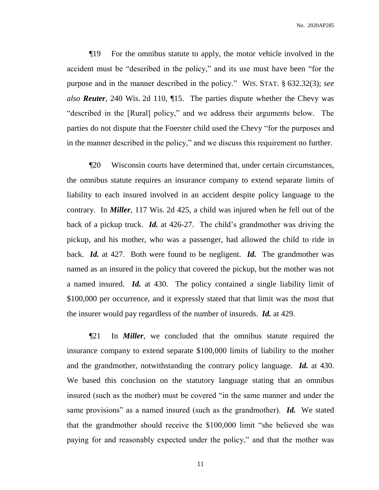¶19 For the omnibus statute to apply, the motor vehicle involved in the accident must be "described in the policy," and its use must have been "for the purpose and in the manner described in the policy." WIS. STAT. § 632.32(3); *see also Reuter*, 240 Wis. 2d 110, ¶15. The parties dispute whether the Chevy was "described in the [Rural] policy," and we address their arguments below. The parties do not dispute that the Foerster child used the Chevy "for the purposes and in the manner described in the policy," and we discuss this requirement no further.

¶20 Wisconsin courts have determined that, under certain circumstances, the omnibus statute requires an insurance company to extend separate limits of liability to each insured involved in an accident despite policy language to the contrary. In *Miller*, 117 Wis. 2d 425, a child was injured when he fell out of the back of a pickup truck. *Id.* at 426-27. The child's grandmother was driving the pickup, and his mother, who was a passenger, had allowed the child to ride in back. *Id.* at 427. Both were found to be negligent. *Id.* The grandmother was named as an insured in the policy that covered the pickup, but the mother was not a named insured. *Id.* at 430. The policy contained a single liability limit of \$100,000 per occurrence, and it expressly stated that that limit was the most that the insurer would pay regardless of the number of insureds. *Id.* at 429.

¶21 In *Miller*, we concluded that the omnibus statute required the insurance company to extend separate \$100,000 limits of liability to the mother and the grandmother, notwithstanding the contrary policy language. *Id.* at 430. We based this conclusion on the statutory language stating that an omnibus insured (such as the mother) must be covered "in the same manner and under the same provisions" as a named insured (such as the grandmother). *Id.* We stated that the grandmother should receive the \$100,000 limit "she believed she was paying for and reasonably expected under the policy," and that the mother was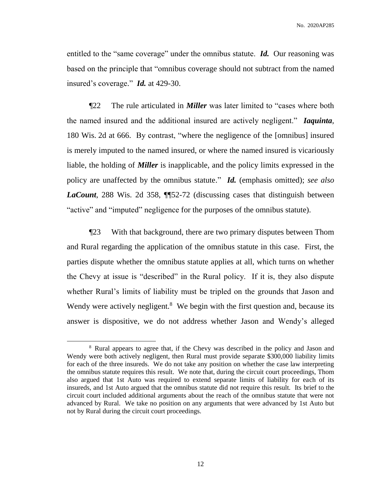entitled to the "same coverage" under the omnibus statute. *Id.* Our reasoning was based on the principle that "omnibus coverage should not subtract from the named insured's coverage." *Id.* at 429-30.

¶22 The rule articulated in *Miller* was later limited to "cases where both the named insured and the additional insured are actively negligent." *Iaquinta*, 180 Wis. 2d at 666. By contrast, "where the negligence of the [omnibus] insured is merely imputed to the named insured, or where the named insured is vicariously liable, the holding of *Miller* is inapplicable, and the policy limits expressed in the policy are unaffected by the omnibus statute." *Id.* (emphasis omitted); *see also LaCount*, 288 Wis. 2d 358, ¶¶52-72 (discussing cases that distinguish between "active" and "imputed" negligence for the purposes of the omnibus statute).

¶23 With that background, there are two primary disputes between Thom and Rural regarding the application of the omnibus statute in this case. First, the parties dispute whether the omnibus statute applies at all, which turns on whether the Chevy at issue is "described" in the Rural policy. If it is, they also dispute whether Rural's limits of liability must be tripled on the grounds that Jason and Wendy were actively negligent.<sup>8</sup> We begin with the first question and, because its answer is dispositive, we do not address whether Jason and Wendy's alleged

<sup>&</sup>lt;sup>8</sup> Rural appears to agree that, if the Chevy was described in the policy and Jason and Wendy were both actively negligent, then Rural must provide separate \$300,000 liability limits for each of the three insureds. We do not take any position on whether the case law interpreting the omnibus statute requires this result. We note that, during the circuit court proceedings, Thom also argued that 1st Auto was required to extend separate limits of liability for each of its insureds, and 1st Auto argued that the omnibus statute did not require this result. Its brief to the circuit court included additional arguments about the reach of the omnibus statute that were not advanced by Rural. We take no position on any arguments that were advanced by 1st Auto but not by Rural during the circuit court proceedings.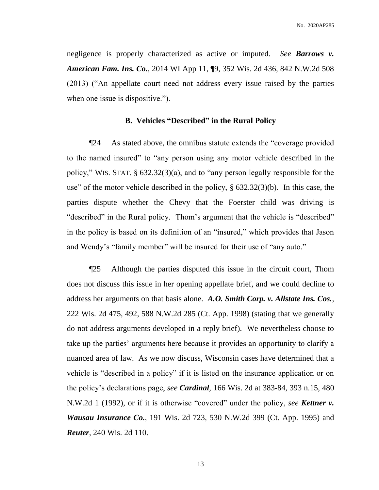negligence is properly characterized as active or imputed. *See Barrows v. American Fam. Ins. Co.*, 2014 WI App 11, ¶9, 352 Wis. 2d 436, 842 N.W.2d 508 (2013) ("An appellate court need not address every issue raised by the parties when one issue is dispositive.").

#### **B. Vehicles "Described" in the Rural Policy**

¶24 As stated above, the omnibus statute extends the "coverage provided to the named insured" to "any person using any motor vehicle described in the policy," WIS. STAT. § 632.32(3)(a), and to "any person legally responsible for the use" of the motor vehicle described in the policy, § 632.32(3)(b). In this case, the parties dispute whether the Chevy that the Foerster child was driving is "described" in the Rural policy. Thom's argument that the vehicle is "described" in the policy is based on its definition of an "insured," which provides that Jason and Wendy's "family member" will be insured for their use of "any auto."

¶25 Although the parties disputed this issue in the circuit court, Thom does not discuss this issue in her opening appellate brief, and we could decline to address her arguments on that basis alone. *A.O. Smith Corp. v. Allstate Ins. Cos.*, 222 Wis. 2d 475, 492, 588 N.W.2d 285 (Ct. App. 1998) (stating that we generally do not address arguments developed in a reply brief). We nevertheless choose to take up the parties' arguments here because it provides an opportunity to clarify a nuanced area of law. As we now discuss, Wisconsin cases have determined that a vehicle is "described in a policy" if it is listed on the insurance application or on the policy's declarations page, *see Cardinal*, 166 Wis. 2d at 383-84, 393 n.15, 480 N.W.2d 1 (1992), or if it is otherwise "covered" under the policy, *see Kettner v. Wausau Insurance Co.*, 191 Wis. 2d 723, 530 N.W.2d 399 (Ct. App. 1995) and *Reuter*, 240 Wis. 2d 110.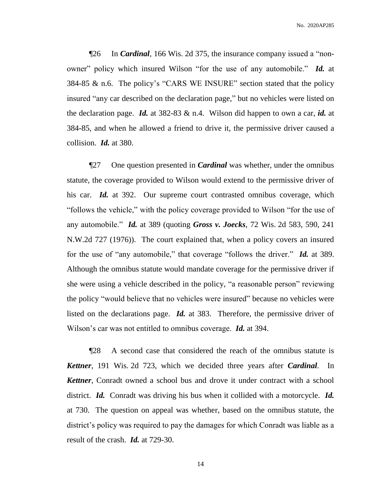¶26 In *Cardinal*, 166 Wis. 2d 375, the insurance company issued a "nonowner" policy which insured Wilson "for the use of any automobile." *Id.* at 384-85 & n.6. The policy's "CARS WE INSURE" section stated that the policy insured "any car described on the declaration page," but no vehicles were listed on the declaration page. *Id.* at 382-83 & n.4. Wilson did happen to own a car, *id.* at 384-85, and when he allowed a friend to drive it, the permissive driver caused a collision. *Id.* at 380.

¶27 One question presented in *Cardinal* was whether, under the omnibus statute, the coverage provided to Wilson would extend to the permissive driver of his car. *Id.* at 392. Our supreme court contrasted omnibus coverage, which "follows the vehicle," with the policy coverage provided to Wilson "for the use of any automobile." *Id.* at 389 (quoting *Gross v. Joecks*, 72 Wis. 2d 583, 590, 241 N.W.2d 727 (1976)). The court explained that, when a policy covers an insured for the use of "any automobile," that coverage "follows the driver." *Id.* at 389. Although the omnibus statute would mandate coverage for the permissive driver if she were using a vehicle described in the policy, "a reasonable person" reviewing the policy "would believe that no vehicles were insured" because no vehicles were listed on the declarations page. *Id.* at 383. Therefore, the permissive driver of Wilson's car was not entitled to omnibus coverage. *Id.* at 394.

¶28 A second case that considered the reach of the omnibus statute is *Kettner*, 191 Wis. 2d 723, which we decided three years after *Cardinal*. In *Kettner*, Conradt owned a school bus and drove it under contract with a school district. *Id.* Conradt was driving his bus when it collided with a motorcycle. *Id.* at 730. The question on appeal was whether, based on the omnibus statute, the district's policy was required to pay the damages for which Conradt was liable as a result of the crash. *Id.* at 729-30.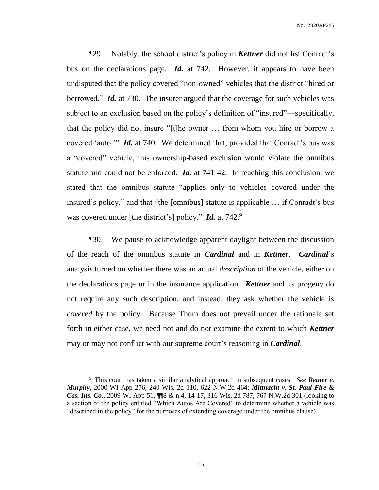¶29 Notably, the school district's policy in *Kettner* did not list Conradt's bus on the declarations page. *Id.* at 742. However, it appears to have been undisputed that the policy covered "non-owned" vehicles that the district "hired or borrowed." *Id.* at 730. The insurer argued that the coverage for such vehicles was subject to an exclusion based on the policy's definition of "insured"—specifically, that the policy did not insure "[t]he owner … from whom you hire or borrow a covered 'auto.'" *Id.* at 740. We determined that, provided that Conradt's bus was a "covered" vehicle, this ownership-based exclusion would violate the omnibus statute and could not be enforced. *Id.* at 741-42. In reaching this conclusion, we stated that the omnibus statute "applies only to vehicles covered under the insured's policy," and that "the [omnibus] statute is applicable … if Conradt's bus was covered under [the district's] policy." *Id.* at 742.9

¶30 We pause to acknowledge apparent daylight between the discussion of the reach of the omnibus statute in *Cardinal* and in *Kettner*. *Cardinal*'s analysis turned on whether there was an actual *description* of the vehicle, either on the declarations page or in the insurance application. *Kettner* and its progeny do not require any such description, and instead, they ask whether the vehicle is *covered* by the policy. Because Thom does not prevail under the rationale set forth in either case, we need not and do not examine the extent to which *Kettner* may or may not conflict with our supreme court's reasoning in *Cardinal*.

 $\overline{a}$ 

<sup>9</sup> This court has taken a similar analytical approach in subsequent cases. *See Reuter v. Murphy*, 2000 WI App 276, 240 Wis. 2d 110, 622 N.W.2d 464; *Mittnacht v. St. Paul Fire & Cas. Ins. Co.*, 2009 WI App 51, ¶¶8 & n.4, 14-17, 316 Wis. 2d 787, 767 N.W.2d 301 (looking to a section of the policy entitled "Which Autos Are Covered" to determine whether a vehicle was "described in the policy" for the purposes of extending coverage under the omnibus clause).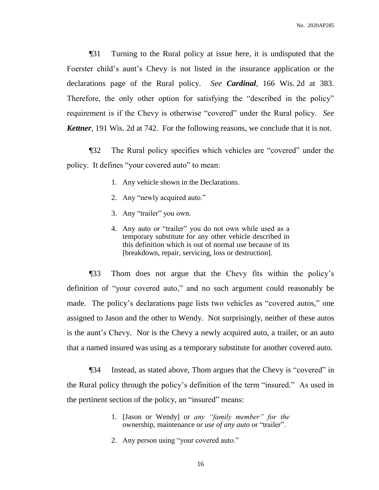¶31 Turning to the Rural policy at issue here, it is undisputed that the Foerster child's aunt's Chevy is not listed in the insurance application or the declarations page of the Rural policy. *See Cardinal*, 166 Wis. 2d at 383. Therefore, the only other option for satisfying the "described in the policy" requirement is if the Chevy is otherwise "covered" under the Rural policy. *See Kettner*, 191 Wis. 2d at 742. For the following reasons, we conclude that it is not.

¶32 The Rural policy specifies which vehicles are "covered" under the policy. It defines "your covered auto" to mean:

- 1. Any vehicle shown in the Declarations.
- 2. Any "newly acquired auto."
- 3. Any "trailer" you own.
- 4. Any auto or "trailer" you do not own while used as a temporary substitute for any other vehicle described in this definition which is out of normal use because of its [breakdown, repair, servicing, loss or destruction].

¶33 Thom does not argue that the Chevy fits within the policy's definition of "your covered auto," and no such argument could reasonably be made. The policy's declarations page lists two vehicles as "covered autos," one assigned to Jason and the other to Wendy. Not surprisingly, neither of these autos is the aunt's Chevy. Nor is the Chevy a newly acquired auto, a trailer, or an auto that a named insured was using as a temporary substitute for another covered auto.

¶34 Instead, as stated above, Thom argues that the Chevy is "covered" in the Rural policy through the policy's definition of the term "insured." As used in the pertinent section of the policy, an "insured" means:

- 1. [Jason or Wendy] or *any "family member" for the* ownership, maintenance or *use of any auto* or "trailer".
- 2. Any person using "your covered auto."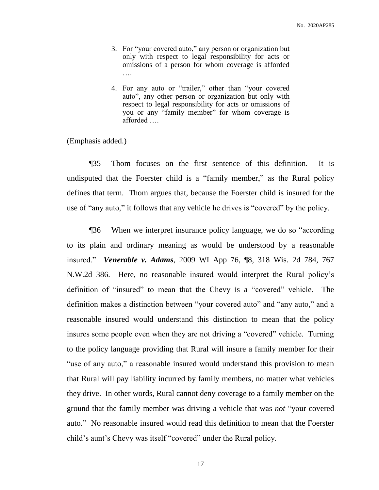- 3. For "your covered auto," any person or organization but only with respect to legal responsibility for acts or omissions of a person for whom coverage is afforded ….
- 4. For any auto or "trailer," other than "your covered auto", any other person or organization but only with respect to legal responsibility for acts or omissions of you or any "family member" for whom coverage is afforded ….

(Emphasis added.)

¶35 Thom focuses on the first sentence of this definition. It is undisputed that the Foerster child is a "family member," as the Rural policy defines that term. Thom argues that, because the Foerster child is insured for the use of "any auto," it follows that any vehicle he drives is "covered" by the policy.

¶36 When we interpret insurance policy language, we do so "according to its plain and ordinary meaning as would be understood by a reasonable insured." *Venerable v. Adams*, 2009 WI App 76, ¶8, 318 Wis. 2d 784, 767 N.W.2d 386. Here, no reasonable insured would interpret the Rural policy's definition of "insured" to mean that the Chevy is a "covered" vehicle. The definition makes a distinction between "your covered auto" and "any auto," and a reasonable insured would understand this distinction to mean that the policy insures some people even when they are not driving a "covered" vehicle. Turning to the policy language providing that Rural will insure a family member for their "use of any auto," a reasonable insured would understand this provision to mean that Rural will pay liability incurred by family members, no matter what vehicles they drive. In other words, Rural cannot deny coverage to a family member on the ground that the family member was driving a vehicle that was *not* "your covered auto." No reasonable insured would read this definition to mean that the Foerster child's aunt's Chevy was itself "covered" under the Rural policy.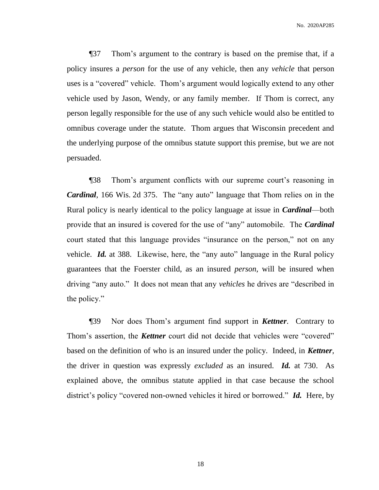¶37 Thom's argument to the contrary is based on the premise that, if a policy insures a *person* for the use of any vehicle, then any *vehicle* that person uses is a "covered" vehicle. Thom's argument would logically extend to any other vehicle used by Jason, Wendy, or any family member. If Thom is correct, any person legally responsible for the use of any such vehicle would also be entitled to omnibus coverage under the statute. Thom argues that Wisconsin precedent and the underlying purpose of the omnibus statute support this premise, but we are not persuaded.

¶38 Thom's argument conflicts with our supreme court's reasoning in *Cardinal*, 166 Wis. 2d 375. The "any auto" language that Thom relies on in the Rural policy is nearly identical to the policy language at issue in *Cardinal*—both provide that an insured is covered for the use of "any" automobile. The *Cardinal*  court stated that this language provides "insurance on the person," not on any vehicle. *Id.* at 388. Likewise, here, the "any auto" language in the Rural policy guarantees that the Foerster child, as an insured *person*, will be insured when driving "any auto." It does not mean that any *vehicles* he drives are "described in the policy."

¶39 Nor does Thom's argument find support in *Kettner*. Contrary to Thom's assertion, the *Kettner* court did not decide that vehicles were "covered" based on the definition of who is an insured under the policy. Indeed, in *Kettner*, the driver in question was expressly *excluded* as an insured. *Id.* at 730. As explained above, the omnibus statute applied in that case because the school district's policy "covered non-owned vehicles it hired or borrowed." *Id.* Here, by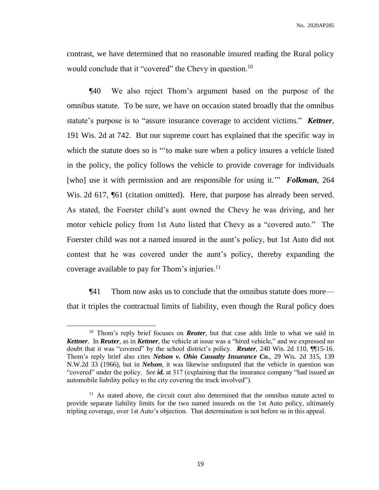contrast, we have determined that no reasonable insured reading the Rural policy would conclude that it "covered" the Chevy in question.<sup>10</sup>

¶40 We also reject Thom's argument based on the purpose of the omnibus statute. To be sure, we have on occasion stated broadly that the omnibus statute's purpose is to "assure insurance coverage to accident victims." *Kettner*, 191 Wis. 2d at 742. But our supreme court has explained that the specific way in which the statute does so is "to make sure when a policy insures a vehicle listed in the policy, the policy follows the vehicle to provide coverage for individuals [who] use it with permission and are responsible for using it.'" *Folkman*, 264 Wis. 2d 617, ¶61 (citation omitted). Here, that purpose has already been served. As stated, the Foerster child's aunt owned the Chevy he was driving, and her motor vehicle policy from 1st Auto listed that Chevy as a "covered auto." The Foerster child was not a named insured in the aunt's policy, but 1st Auto did not contest that he was covered under the aunt's policy, thereby expanding the coverage available to pay for Thom's injuries.<sup>11</sup>

¶41 Thom now asks us to conclude that the omnibus statute does more that it triples the contractual limits of liability, even though the Rural policy does

<sup>&</sup>lt;sup>10</sup> Thom's reply brief focuses on *Reuter*, but that case adds little to what we said in *Kettner*. In *Reuter*, as in *Kettner*, the vehicle at issue was a "hired vehicle," and we expressed no doubt that it was "covered" by the school district's policy. *Reuter*, 240 Wis. 2d 110, ¶¶15-16. Thom's reply brief also cites *Nelson v. Ohio Casualty Insurance Co.*, 29 Wis. 2d 315, 139 N.W.2d 33 (1966), but in *Nelson*, it was likewise undisputed that the vehicle in question was "covered" under the policy. *See id.* at 317 (explaining that the insurance company "had issued an automobile liability policy to the city covering the truck involved").

<sup>&</sup>lt;sup>11</sup> As stated above, the circuit court also determined that the omnibus statute acted to provide separate liability limits for the two named insureds on the 1st Auto policy, ultimately tripling coverage, over 1st Auto's objection. That determination is not before us in this appeal.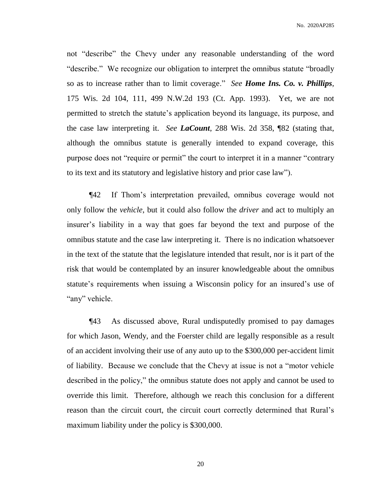not "describe" the Chevy under any reasonable understanding of the word "describe." We recognize our obligation to interpret the omnibus statute "broadly so as to increase rather than to limit coverage." *See Home Ins. Co. v. Phillips*, 175 Wis. 2d 104, 111, 499 N.W.2d 193 (Ct. App. 1993). Yet, we are not permitted to stretch the statute's application beyond its language, its purpose, and the case law interpreting it. *See LaCount*, 288 Wis. 2d 358, ¶82 (stating that, although the omnibus statute is generally intended to expand coverage, this purpose does not "require or permit" the court to interpret it in a manner "contrary to its text and its statutory and legislative history and prior case law").

¶42 If Thom's interpretation prevailed, omnibus coverage would not only follow the *vehicle*, but it could also follow the *driver* and act to multiply an insurer's liability in a way that goes far beyond the text and purpose of the omnibus statute and the case law interpreting it. There is no indication whatsoever in the text of the statute that the legislature intended that result, nor is it part of the risk that would be contemplated by an insurer knowledgeable about the omnibus statute's requirements when issuing a Wisconsin policy for an insured's use of "any" vehicle.

¶43 As discussed above, Rural undisputedly promised to pay damages for which Jason, Wendy, and the Foerster child are legally responsible as a result of an accident involving their use of any auto up to the \$300,000 per-accident limit of liability. Because we conclude that the Chevy at issue is not a "motor vehicle described in the policy," the omnibus statute does not apply and cannot be used to override this limit. Therefore, although we reach this conclusion for a different reason than the circuit court, the circuit court correctly determined that Rural's maximum liability under the policy is \$300,000.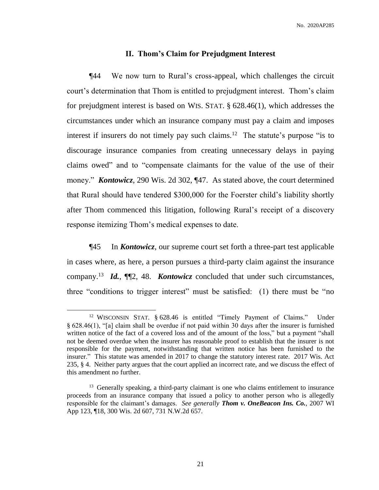#### **II. Thom's Claim for Prejudgment Interest**

¶44 We now turn to Rural's cross-appeal, which challenges the circuit court's determination that Thom is entitled to prejudgment interest. Thom's claim for prejudgment interest is based on WIS. STAT. § 628.46(1), which addresses the circumstances under which an insurance company must pay a claim and imposes interest if insurers do not timely pay such claims.<sup>12</sup> The statute's purpose "is to discourage insurance companies from creating unnecessary delays in paying claims owed" and to "compensate claimants for the value of the use of their money." *Kontowicz*, 290 Wis. 2d 302, ¶47. As stated above, the court determined that Rural should have tendered \$300,000 for the Foerster child's liability shortly after Thom commenced this litigation, following Rural's receipt of a discovery response itemizing Thom's medical expenses to date.

¶45 In *Kontowicz*, our supreme court set forth a three-part test applicable in cases where, as here, a person pursues a third-party claim against the insurance company.<sup>13</sup> *Id.*,  $\P$ 2, 48. *Kontowicz* concluded that under such circumstances, three "conditions to trigger interest" must be satisfied: (1) there must be "no

<sup>&</sup>lt;sup>12</sup> WISCONSIN STAT. § 628.46 is entitled "Timely Payment of Claims." Under § 628.46(1), "[a] claim shall be overdue if not paid within 30 days after the insurer is furnished written notice of the fact of a covered loss and of the amount of the loss," but a payment "shall not be deemed overdue when the insurer has reasonable proof to establish that the insurer is not responsible for the payment, notwithstanding that written notice has been furnished to the insurer." This statute was amended in 2017 to change the statutory interest rate. 2017 Wis. Act 235, § 4. Neither party argues that the court applied an incorrect rate, and we discuss the effect of this amendment no further.

<sup>&</sup>lt;sup>13</sup> Generally speaking, a third-party claimant is one who claims entitlement to insurance proceeds from an insurance company that issued a policy to another person who is allegedly responsible for the claimant's damages. *See generally Thom v. OneBeacon Ins. Co.*, 2007 WI App 123, ¶18, 300 Wis. 2d 607, 731 N.W.2d 657.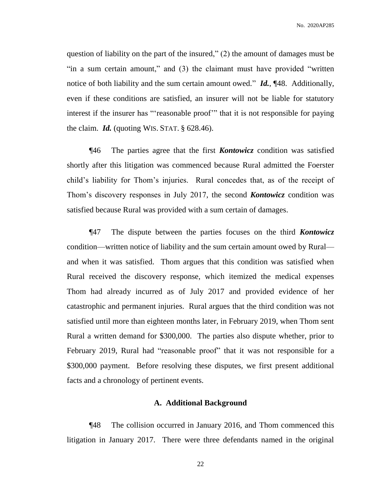question of liability on the part of the insured," (2) the amount of damages must be "in a sum certain amount," and (3) the claimant must have provided "written notice of both liability and the sum certain amount owed." *Id.*, ¶48. Additionally, even if these conditions are satisfied, an insurer will not be liable for statutory interest if the insurer has "'reasonable proof'" that it is not responsible for paying the claim.  $Id.$  (quoting WIS. STAT.  $\S$  628.46).

¶46 The parties agree that the first *Kontowicz* condition was satisfied shortly after this litigation was commenced because Rural admitted the Foerster child's liability for Thom's injuries. Rural concedes that, as of the receipt of Thom's discovery responses in July 2017, the second *Kontowicz* condition was satisfied because Rural was provided with a sum certain of damages.

¶47 The dispute between the parties focuses on the third *Kontowicz* condition—written notice of liability and the sum certain amount owed by Rural and when it was satisfied. Thom argues that this condition was satisfied when Rural received the discovery response, which itemized the medical expenses Thom had already incurred as of July 2017 and provided evidence of her catastrophic and permanent injuries. Rural argues that the third condition was not satisfied until more than eighteen months later, in February 2019, when Thom sent Rural a written demand for \$300,000. The parties also dispute whether, prior to February 2019, Rural had "reasonable proof" that it was not responsible for a \$300,000 payment. Before resolving these disputes, we first present additional facts and a chronology of pertinent events.

#### **A. Additional Background**

¶48 The collision occurred in January 2016, and Thom commenced this litigation in January 2017. There were three defendants named in the original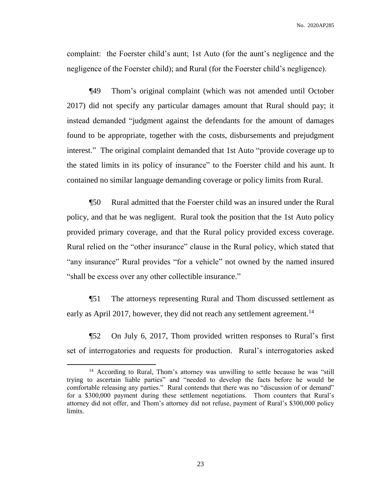complaint: the Foerster child's aunt; 1st Auto (for the aunt's negligence and the negligence of the Foerster child); and Rural (for the Foerster child's negligence).

¶49 Thom's original complaint (which was not amended until October 2017) did not specify any particular damages amount that Rural should pay; it instead demanded "judgment against the defendants for the amount of damages found to be appropriate, together with the costs, disbursements and prejudgment interest." The original complaint demanded that 1st Auto "provide coverage up to the stated limits in its policy of insurance" to the Foerster child and his aunt. It contained no similar language demanding coverage or policy limits from Rural.

¶50 Rural admitted that the Foerster child was an insured under the Rural policy, and that he was negligent. Rural took the position that the 1st Auto policy provided primary coverage, and that the Rural policy provided excess coverage. Rural relied on the "other insurance" clause in the Rural policy, which stated that "any insurance" Rural provides "for a vehicle" not owned by the named insured "shall be excess over any other collectible insurance."

¶51 The attorneys representing Rural and Thom discussed settlement as early as April 2017, however, they did not reach any settlement agreement.<sup>14</sup>

¶52 On July 6, 2017, Thom provided written responses to Rural's first set of interrogatories and requests for production. Rural's interrogatories asked

<sup>&</sup>lt;sup>14</sup> According to Rural, Thom's attorney was unwilling to settle because he was "still trying to ascertain liable parties" and "needed to develop the facts before he would be comfortable releasing any parties." Rural contends that there was no "discussion of or demand" for a \$300,000 payment during these settlement negotiations. Thom counters that Rural's attorney did not offer, and Thom's attorney did not refuse, payment of Rural's \$300,000 policy limits.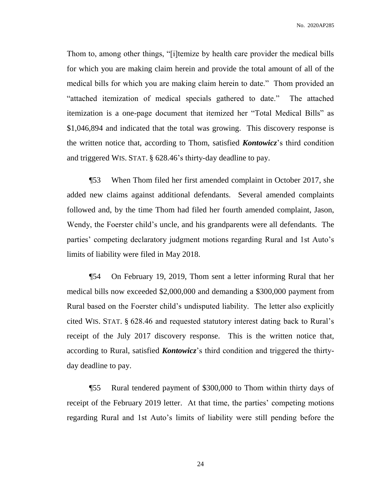Thom to, among other things, "[i]temize by health care provider the medical bills for which you are making claim herein and provide the total amount of all of the medical bills for which you are making claim herein to date." Thom provided an "attached itemization of medical specials gathered to date." The attached itemization is a one-page document that itemized her "Total Medical Bills" as \$1,046,894 and indicated that the total was growing. This discovery response is the written notice that, according to Thom, satisfied *Kontowicz*'s third condition and triggered WIS. STAT. § 628.46's thirty-day deadline to pay.

¶53 When Thom filed her first amended complaint in October 2017, she added new claims against additional defendants. Several amended complaints followed and, by the time Thom had filed her fourth amended complaint, Jason, Wendy, the Foerster child's uncle, and his grandparents were all defendants. The parties' competing declaratory judgment motions regarding Rural and 1st Auto's limits of liability were filed in May 2018.

¶54 On February 19, 2019, Thom sent a letter informing Rural that her medical bills now exceeded \$2,000,000 and demanding a \$300,000 payment from Rural based on the Foerster child's undisputed liability. The letter also explicitly cited WIS. STAT. § 628.46 and requested statutory interest dating back to Rural's receipt of the July 2017 discovery response. This is the written notice that, according to Rural, satisfied *Kontowicz*'s third condition and triggered the thirtyday deadline to pay.

¶55 Rural tendered payment of \$300,000 to Thom within thirty days of receipt of the February 2019 letter. At that time, the parties' competing motions regarding Rural and 1st Auto's limits of liability were still pending before the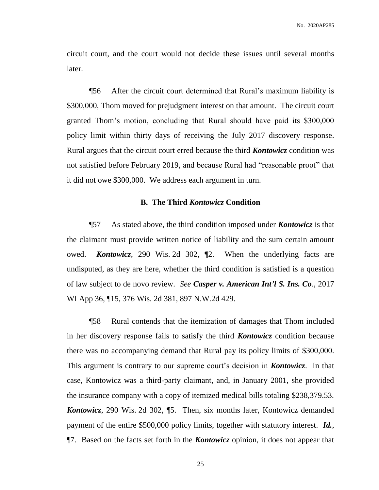circuit court, and the court would not decide these issues until several months later.

¶56 After the circuit court determined that Rural's maximum liability is \$300,000, Thom moved for prejudgment interest on that amount. The circuit court granted Thom's motion, concluding that Rural should have paid its \$300,000 policy limit within thirty days of receiving the July 2017 discovery response. Rural argues that the circuit court erred because the third *Kontowicz* condition was not satisfied before February 2019, and because Rural had "reasonable proof" that it did not owe \$300,000. We address each argument in turn.

### **B. The Third** *Kontowicz* **Condition**

¶57 As stated above, the third condition imposed under *Kontowicz* is that the claimant must provide written notice of liability and the sum certain amount owed. *Kontowicz*, 290 Wis. 2d 302, ¶2. When the underlying facts are undisputed, as they are here, whether the third condition is satisfied is a question of law subject to de novo review. *See Casper v. American Int'l S. Ins. Co*., 2017 WI App 36, ¶15, 376 Wis. 2d 381, 897 N.W.2d 429.

¶58 Rural contends that the itemization of damages that Thom included in her discovery response fails to satisfy the third *Kontowicz* condition because there was no accompanying demand that Rural pay its policy limits of \$300,000. This argument is contrary to our supreme court's decision in *Kontowicz*. In that case, Kontowicz was a third-party claimant, and, in January 2001, she provided the insurance company with a copy of itemized medical bills totaling \$238,379.53. *Kontowicz*, 290 Wis. 2d 302, ¶5. Then, six months later, Kontowicz demanded payment of the entire \$500,000 policy limits, together with statutory interest. *Id.*, ¶7. Based on the facts set forth in the *Kontowicz* opinion, it does not appear that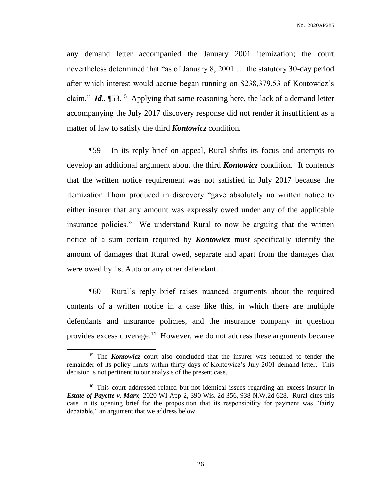any demand letter accompanied the January 2001 itemization; the court nevertheless determined that "as of January 8, 2001 … the statutory 30-day period after which interest would accrue began running on \$238,379.53 of Kontowicz's claim." *Id.*, [53.<sup>15</sup> Applying that same reasoning here, the lack of a demand letter accompanying the July 2017 discovery response did not render it insufficient as a matter of law to satisfy the third *Kontowicz* condition.

¶59 In its reply brief on appeal, Rural shifts its focus and attempts to develop an additional argument about the third *Kontowicz* condition. It contends that the written notice requirement was not satisfied in July 2017 because the itemization Thom produced in discovery "gave absolutely no written notice to either insurer that any amount was expressly owed under any of the applicable insurance policies." We understand Rural to now be arguing that the written notice of a sum certain required by *Kontowicz* must specifically identify the amount of damages that Rural owed, separate and apart from the damages that were owed by 1st Auto or any other defendant.

¶60 Rural's reply brief raises nuanced arguments about the required contents of a written notice in a case like this, in which there are multiple defendants and insurance policies, and the insurance company in question provides excess coverage.<sup>16</sup> However, we do not address these arguments because

<sup>&</sup>lt;sup>15</sup> The **Kontowicz** court also concluded that the insurer was required to tender the remainder of its policy limits within thirty days of Kontowicz's July 2001 demand letter. This decision is not pertinent to our analysis of the present case.

<sup>&</sup>lt;sup>16</sup> This court addressed related but not identical issues regarding an excess insurer in *Estate of Payette v. Marx*, 2020 WI App 2, 390 Wis. 2d 356, 938 N.W.2d 628. Rural cites this case in its opening brief for the proposition that its responsibility for payment was "fairly debatable," an argument that we address below.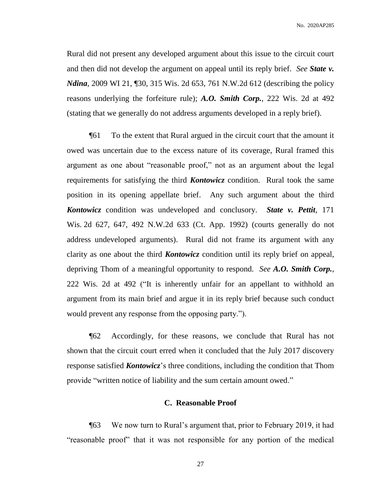Rural did not present any developed argument about this issue to the circuit court and then did not develop the argument on appeal until its reply brief. *See State v. Ndina*, 2009 WI 21, [30, 315 Wis. 2d 653, 761 N.W.2d 612 (describing the policy reasons underlying the forfeiture rule); *A.O. Smith Corp.*, 222 Wis. 2d at 492 (stating that we generally do not address arguments developed in a reply brief).

¶61 To the extent that Rural argued in the circuit court that the amount it owed was uncertain due to the excess nature of its coverage, Rural framed this argument as one about "reasonable proof," not as an argument about the legal requirements for satisfying the third *Kontowicz* condition. Rural took the same position in its opening appellate brief. Any such argument about the third *Kontowicz* condition was undeveloped and conclusory. *State v. Pettit*, 171 Wis. 2d 627, 647, 492 N.W.2d 633 (Ct. App. 1992) (courts generally do not address undeveloped arguments). Rural did not frame its argument with any clarity as one about the third *Kontowicz* condition until its reply brief on appeal, depriving Thom of a meaningful opportunity to respond. *See A.O. Smith Corp.*, 222 Wis. 2d at 492 ("It is inherently unfair for an appellant to withhold an argument from its main brief and argue it in its reply brief because such conduct would prevent any response from the opposing party.").

¶62 Accordingly, for these reasons, we conclude that Rural has not shown that the circuit court erred when it concluded that the July 2017 discovery response satisfied *Kontowicz*'s three conditions, including the condition that Thom provide "written notice of liability and the sum certain amount owed."

#### **C. Reasonable Proof**

¶63 We now turn to Rural's argument that, prior to February 2019, it had "reasonable proof" that it was not responsible for any portion of the medical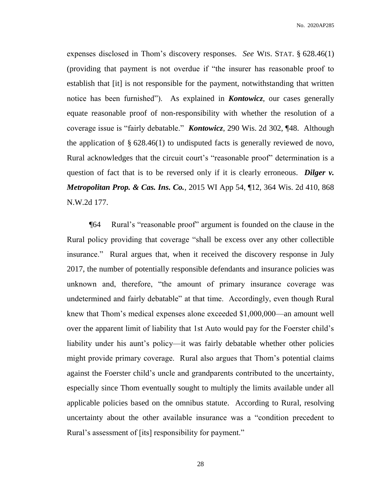expenses disclosed in Thom's discovery responses. *See* WIS. STAT. § 628.46(1) (providing that payment is not overdue if "the insurer has reasonable proof to establish that [it] is not responsible for the payment, notwithstanding that written notice has been furnished"). As explained in *Kontowicz*, our cases generally equate reasonable proof of non-responsibility with whether the resolution of a coverage issue is "fairly debatable." *Kontowicz*, 290 Wis. 2d 302, ¶48. Although the application of  $\S 628.46(1)$  to undisputed facts is generally reviewed de novo, Rural acknowledges that the circuit court's "reasonable proof" determination is a question of fact that is to be reversed only if it is clearly erroneous. *Dilger v. Metropolitan Prop. & Cas. Ins. Co.*, 2015 WI App 54, ¶12, 364 Wis. 2d 410, 868 N.W.2d 177.

¶64 Rural's "reasonable proof" argument is founded on the clause in the Rural policy providing that coverage "shall be excess over any other collectible insurance." Rural argues that, when it received the discovery response in July 2017, the number of potentially responsible defendants and insurance policies was unknown and, therefore, "the amount of primary insurance coverage was undetermined and fairly debatable" at that time. Accordingly, even though Rural knew that Thom's medical expenses alone exceeded \$1,000,000—an amount well over the apparent limit of liability that 1st Auto would pay for the Foerster child's liability under his aunt's policy—it was fairly debatable whether other policies might provide primary coverage. Rural also argues that Thom's potential claims against the Foerster child's uncle and grandparents contributed to the uncertainty, especially since Thom eventually sought to multiply the limits available under all applicable policies based on the omnibus statute. According to Rural, resolving uncertainty about the other available insurance was a "condition precedent to Rural's assessment of [its] responsibility for payment."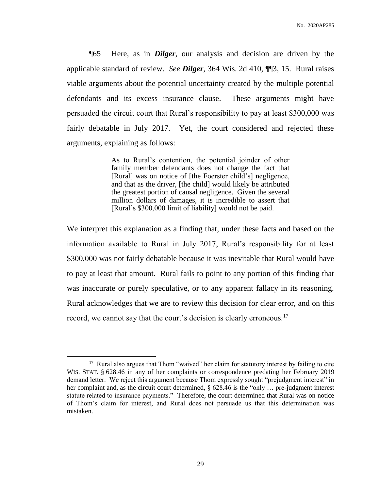¶65 Here, as in *Dilger*, our analysis and decision are driven by the applicable standard of review. *See Dilger*, 364 Wis. 2d 410, ¶¶3, 15. Rural raises viable arguments about the potential uncertainty created by the multiple potential defendants and its excess insurance clause. These arguments might have persuaded the circuit court that Rural's responsibility to pay at least \$300,000 was fairly debatable in July 2017. Yet, the court considered and rejected these arguments, explaining as follows:

> As to Rural's contention, the potential joinder of other family member defendants does not change the fact that [Rural] was on notice of [the Foerster child's] negligence, and that as the driver, [the child] would likely be attributed the greatest portion of causal negligence. Given the several million dollars of damages, it is incredible to assert that [Rural's \$300,000 limit of liability] would not be paid.

We interpret this explanation as a finding that, under these facts and based on the information available to Rural in July 2017, Rural's responsibility for at least \$300,000 was not fairly debatable because it was inevitable that Rural would have to pay at least that amount. Rural fails to point to any portion of this finding that was inaccurate or purely speculative, or to any apparent fallacy in its reasoning. Rural acknowledges that we are to review this decision for clear error, and on this record, we cannot say that the court's decision is clearly erroneous.<sup>17</sup>

<sup>&</sup>lt;sup>17</sup> Rural also argues that Thom "waived" her claim for statutory interest by failing to cite WIS. STAT. § 628.46 in any of her complaints or correspondence predating her February 2019 demand letter. We reject this argument because Thom expressly sought "prejudgment interest" in her complaint and, as the circuit court determined, § 628.46 is the "only ... pre-judgment interest statute related to insurance payments." Therefore, the court determined that Rural was on notice of Thom's claim for interest, and Rural does not persuade us that this determination was mistaken.